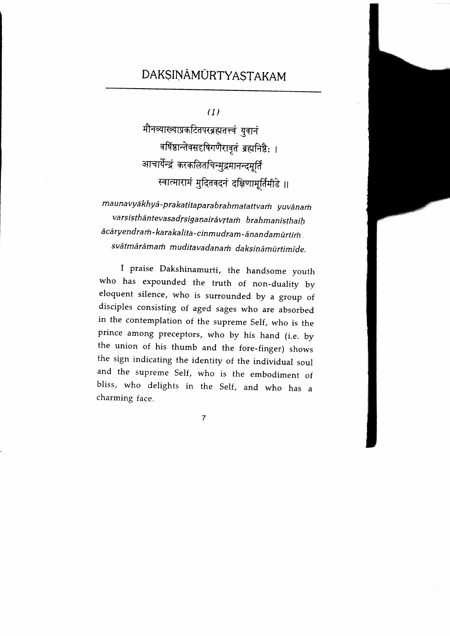# DAKSINAMURTYASTAKAM

(1)

मौनव्याख्याप्रकटितपरब्रह्मतत्त्वं युवानं वर्षिष्ठान्तेवसदृषिगणैरावृतं ब्रह्मनिष्ठै: । आचार्येन्द्रं करकलितचिन्मुद्रमानन्दमूर्तिं स्वात्मारामं मुदितवदनं दक्षिणामूर्तिमीडे ॥

ma u navyāk hyā - pra kaṭita para brah matattva m yuvā na m varsisthāntevasadrsiganairāvrtam brahmanisthaih acarvendram - karakalita - cinmudram - an andamūrtim svātmārāmam muditavadanam daksināmūrtimīde.

I praise Dakshinamurti, the handsome youth who has expounded the truth of non-duality by eloquent silence, who is surrounded by a group of disciples consisting of aged sages who are absorbed in the contemplation of the supreme self, who is the prince among preceptors, who by his hand (i.e. by the union of his thumb and the fore-finger) shows the sign indicating the identity of the individual soul and the supreme self, who is the embodiment of bliss, who delights in the Self, and who has <sup>a</sup> charming face.

 $\overline{7}$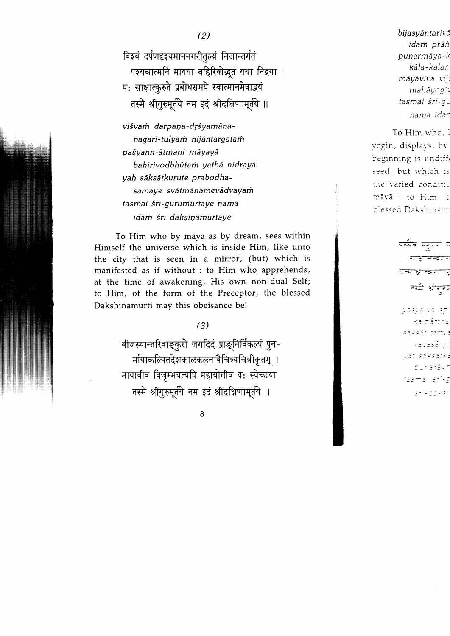(2)

विश्वं दर्पणदृश्यमाननगरीतूल्यं निजान्तर्गतं पशयत्रात्मनि मायया बहिरिवोद्भूतं यथा निद्रया । य: साक्षात्करुते प्रबोधसमये स्वात्मानमेवाद्वयं तस्मै श्रीगुरुमूर्तये नम इदं श्रीदक्षिणामूर्तये ॥

viśvam darpana-drśyamānanagari-tulyam nijantargatam pa{yann-atmani mayaya bahirivodbhūtam vathā nidrayā. vah sāksātkurute prabodhasamave svātmānamevādvayam tasmai śri-gurumūrtaye nama idam śrī-daksināmūrtaye.

To Him who by māyā as by dream, sees within Himself the universe which is inside Him, like unto the city that is seen in a mirror, (but) which is manifested as if without : to Him who apprehends, at the time of awakening, His own non-dual Self; to Him, of the form of the Preceptor, the blessed Dakshinamurti may this obeisance be!

## (s)

बीजस्यान्तरिवाङ्कुरो जगदिदं प्राङ्निर्विकल्पं पुन-र्मायाकल्पितदेशकालकलनावैचित्र्यचित्रीकृतम् । मायावीव विजृम्भयत्यपि महायोगीव य: स्वेच्छया तस्मै श्रीगुरुमूर्तये नम इदं श्रीदक्षिणामूर्तये ॥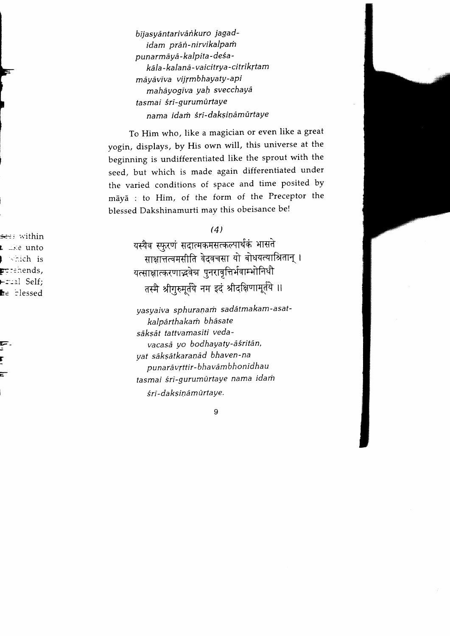bījasyāntarivānkuro jagadidam prān-nirvikalpam punarmāyā-kalpita-deśakāla-kalanā-vaicitrva-citrīkrtam māyāvīva viirmbhayaty-api mahāyogīva yah svecchayā tasmai śrī-gurumūrtaye nama idam śri-daksināmūrtave

To Him who, like a magician or even like a great yogin, displays, by His own will, this universe at the beginning is undifferentiated like the sprout with the seed, but which is made again differentiated under the varied conditions of space and time posited by maya : to Him, of the form of the Preceptor the blessed Dakshinamurti may this obeisance be!

#### (4)

यस्यैव स्फुरणं सदात्मकमसत्कल्पार्थकं भासते साक्षात्तत्वमसीति वेदवचसा यो बोधयत्याश्रितान् । यत्साक्षात्करणाद्भवेच पुनरावृत्तिर्भवाम्भोनिधौ तस्मै श्रीगुरुमूर्तये नम इदं श्रीदक्षिणामूर्तये ॥

yasyaiva sphuranam sadātmakam-asatkalpārthakam bhāsate saksat tattvamasiti vedavacasā vo bodhavaty-āśritān, yat sāksātkaranād bhaven-na punarāvrttir-bhavāmbhonīdhau tasmai śrī-gurumūrtaye nama idam śrī-daksināmūrtaye.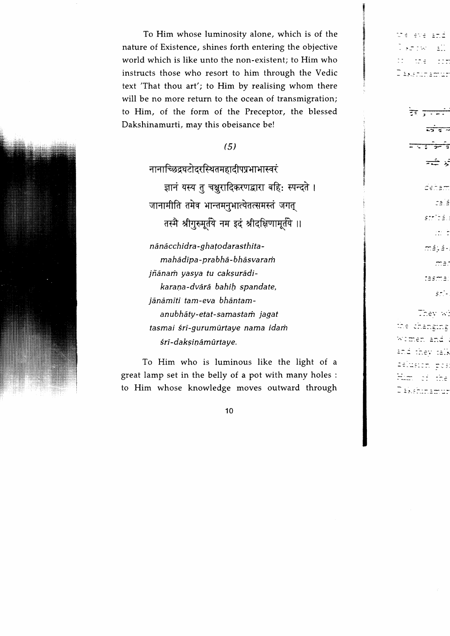To Him whose luminosity alone, which is of the nature of Existence, shines forth entering the objective world which is like unto the non-existent; to Him who instructs those who resort to him through the Vedic text 'That thou art'; to Him by realising whom there will be no more return to the ocean of transmigration; to Him, of the form of the Preceptor, the blessed Dakshinamurti, may this obeisance be!

## (5)

नानाच्छिद्रघटोदरस्थितमहादीपप्रभाभास्वरं ज्ञानं यस्य तु चक्षुरादिकरणद्वारा बहि: स्पन्दते । जानामीति तमेव भान्तमनुभात्येतत्समस्तं जगत् तस्मै श्रीगुरुमूर्तये नम इदं श्रीदक्षिणामूर्तये ॥

nānāc chidra-ghato darasthitamahādīpa-prabhā-bhāsvaram jñānam yasya tu caksurādikarana-dvārā bahih spandate, jānāmīti tam-eva bhāntamanubhāty-etat-samastam jagat tasmai śri-gurumūrtaye nama idam śri-daksināmūrtaye.

To Him who is luminous like the light of <sup>a</sup> great lamp set in the belly of a pot with many holes : to Him whose knowledge moves outward through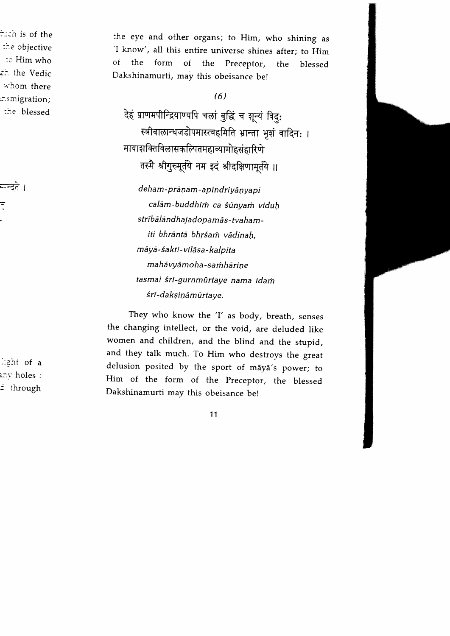the eye and other organs; to Him, who shining as<br>'I know', all this entire universe shines after; to Him of the form of the Preceptor, the blessed Dakshinamurti, may this obeisance be!

## (6)

देहं प्राणमपीन्द्रियाण्यपि चलां बुद्धिं च शून्यं विदुः स्त्रीबालान्धजडोपमास्त्वहमिति भ्रान्ता भुशं वादिन: । मायाशक्तिविलासकल्पितमहाव्यामोहसंहारिणे तस्मै श्रीगुरुमूर्तये नम इदं श्रीदक्षिणामृतये ॥

de ham - prāṇam - a pindrivān va pi calām-buddhim ca śūnyam viduh strībālānd hajado pamās-tva hamiti bhrāntā bhrśam vādinah māyā-śakti-vilāsa-kalpita mahāvvām o ha-s am hāri ne tasmai śri-gurnmūrtaye nama idam śri-daksināmūrtaye.

They who know the 'I' as body, breath, senses the changing intellect, or the void, are deluded like women and children, and the blind and the stupid, and they talk much. To Him who destroys the great delusion posited by the sport of māyā's power; to Him of the form of the preceptor, the blessed Dakshinamurti may this obeisance be!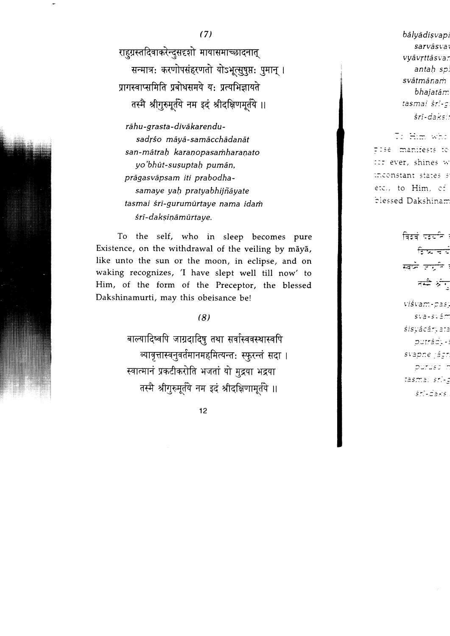12

(7)

राहुग्रस्तदिवाकरेन्दुसदृशो मायासमाच्छादनात् सन्मात्र: करणोपसंहरणतो योऽभृत्सुषुप्त: पुमान् । पागस्वाप्समिति प्रबोधसमये यः प्रत्यभिज्ञायते तस्मै श्रीगुरुमूर्तये नम इदं श्रीदक्षिणमूर्तये ॥ rāhu-grasta-divākarendusadrśo māvā-samācchādanāt san-mātrah karanopasamharanato yo'bhūt-susuptah pumān. pragasvapsam iti prabodhasamaye yah pratyabhijñāyate tasmai śri-gurumūrtaye nama idam śri-daksiņāmūrtaye.

To the self, who in sleep becomes pure Existence, on the withdrawal of the veiling by māyā, like unto the sun or the moon, in eclipse, and on waking recognizes, 'I have slept well till now' to Him, of the form of the Preceptor, the blessed Dakshinamurti, may this obeisance be!

(8)

बाल्यादिष्वपि जाग्रदादिषु तथा सर्वास्ववस्थास्वपि व्यावृत्तास्वनुवर्तमानमहमित्यन्त: स्फुरन्तं सदा । स्वात्मानं प्रकटीकरोति भजतां यो मुद्रया भद्रया तस्मै श्रीगुरुमूर्तये नम इदं श्रीदक्षिणामूर्तये ॥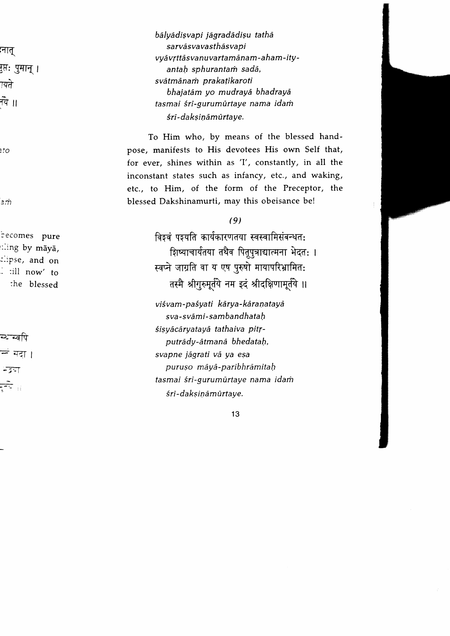bālvādisvapi jāgradādisu tathā sarvāsvavasthāsvapi vyāvṛttāsvanuvartamānam-aham-ityantah sphurantam sadā, svātmānam prakatīkaroti bhajatam yo mudrayd bhadraya tasmai śrī-gurumūrtaye nama idam śri-daksināmūrtave.

To Him who, by means of the blessed handpose, manifests to His devotees His own Self that, for ever, shines within as 'I', constantly, in all the inconstant states such as infancy, etc., and waking, etc., to Him, of the form of the Preceptor, the blessed Dakshinamurti, may this obeisance be!

#### (9)

विञ्चं पञ्यति कार्यकारणतया स्वस्वामिसंबन्धत: शिष्याचार्यतया तथैव पितूपुत्राद्यात्मना भेदत: । स्वप्ने जाग्रति वा य एष पुरुषो मायापरिभ्रामित: तस्मै श्रीगुरुमूर्तये नम इदं श्रीदक्षिणामूर्तये ॥

viśvam-paśyati kārya-kāranatayā sva-svāmi-sambandhatah śisyācāryatayā tathaiva pitrputrādy-ātmanā bhedatah, svapne jagrati va ya esa puruso maya-paribhramitah tasmai śrī-gurumūrtaye nama idam śri-daksināmūrtaye.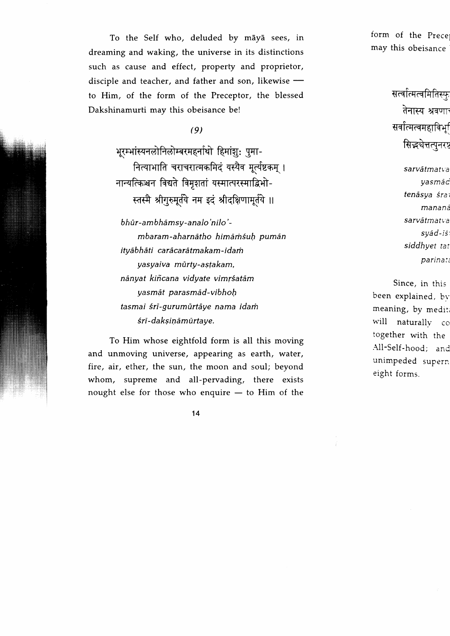To the Self who, deluded by māyā sees, in dreaming and waking, the universe in its distinctions such as cause and effect, property and proprietor, disciple and teacher, and father and son, likewise to Him, of the form of the Preceptor, the blessed Dakshinamurti may this obeisance be!

# (9)

भरम्भांस्यनलोनिलोम्बरमहर्नाथो हिमांश: पुमा-नित्याभाति चराचरात्मकमिदं यस्यैव मूर्त्यष्टकम् । नान्यत्किश्चन विद्यते विमृशतां यस्मात्परस्माद्विभो-स्तस्मै श्रीगुरुमूर्तये नम इदं श्रीदक्षिणामूर्तये ॥

bhūr-ambhāmsy-analo'nilo'mbaram-aharnātho himāmśuh pumān itvābhāti carācarātmakam-idam yasyaiva mūrty-astakam, nānyat kiñcana vidyate vimrśatām yasmat parasmad-vibhoh tasmai śrī-gurumūrtāve nama idam śri-daksināmūrtave.

To Him whose eightfold form is all this moving and unmoving universe, appearing as earth, water, fire, air, ether, the sun, the moon and soul; beyond whom, supreme and all-pervading, there exists nought else for those who enquire — to Him of the